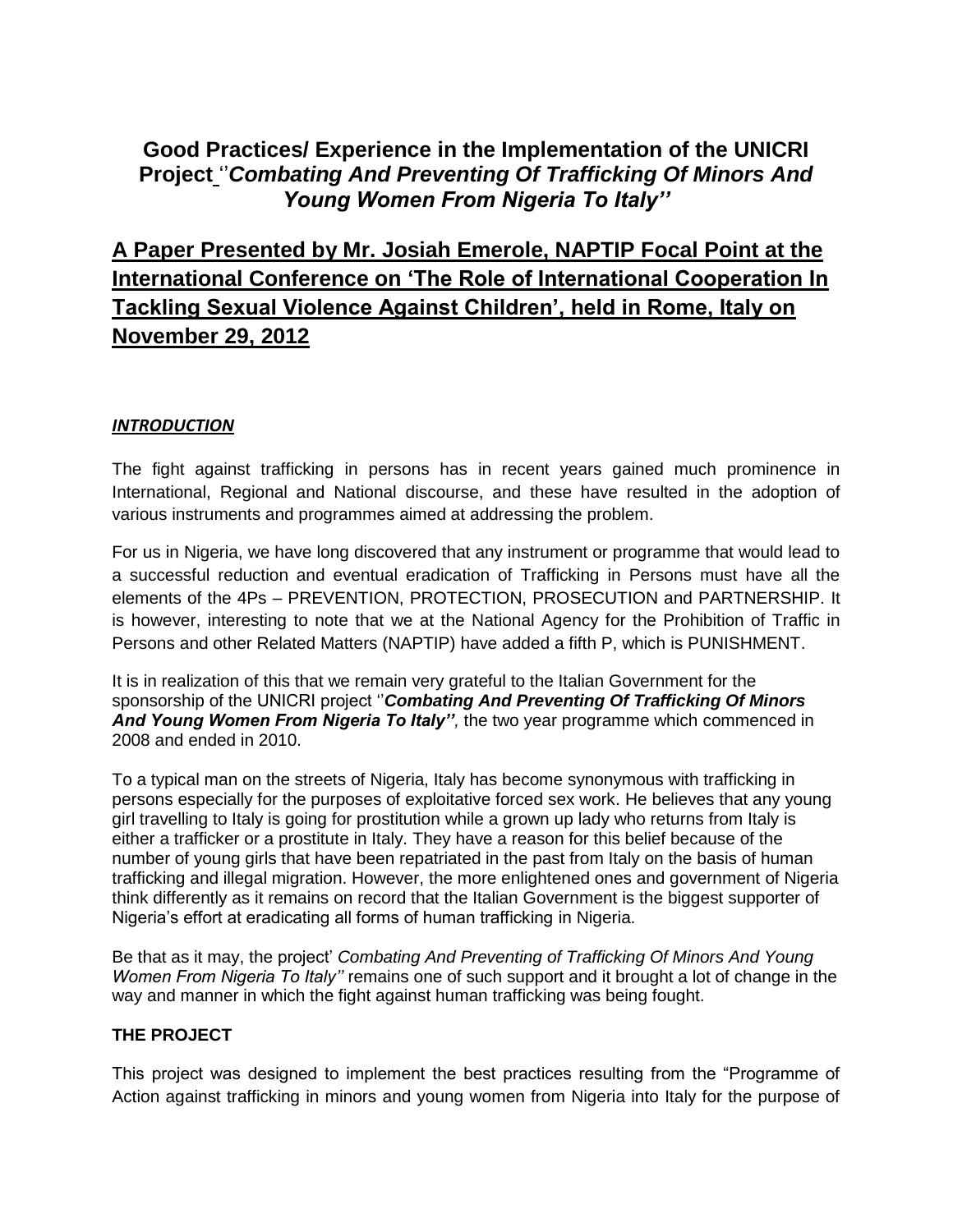## **Good Practices/ Experience in the Implementation of the UNICRI Project** ''*Combating And Preventing Of Trafficking Of Minors And Young Women From Nigeria To Italy''*

# **A Paper Presented by Mr. Josiah Emerole, NAPTIP Focal Point at the International Conference on 'The Role of International Cooperation In Tackling Sexual Violence Against Children', held in Rome, Italy on November 29, 2012**

#### *INTRODUCTION*

The fight against trafficking in persons has in recent years gained much prominence in International, Regional and National discourse, and these have resulted in the adoption of various instruments and programmes aimed at addressing the problem.

For us in Nigeria, we have long discovered that any instrument or programme that would lead to a successful reduction and eventual eradication of Trafficking in Persons must have all the elements of the 4Ps – PREVENTION, PROTECTION, PROSECUTION and PARTNERSHIP. It is however, interesting to note that we at the National Agency for the Prohibition of Traffic in Persons and other Related Matters (NAPTIP) have added a fifth P, which is PUNISHMENT.

It is in realization of this that we remain very grateful to the Italian Government for the sponsorship of the UNICRI project ''*Combating And Preventing Of Trafficking Of Minors And Young Women From Nigeria To Italy'',* the two year programme which commenced in 2008 and ended in 2010.

To a typical man on the streets of Nigeria, Italy has become synonymous with trafficking in persons especially for the purposes of exploitative forced sex work. He believes that any young girl travelling to Italy is going for prostitution while a grown up lady who returns from Italy is either a trafficker or a prostitute in Italy. They have a reason for this belief because of the number of young girls that have been repatriated in the past from Italy on the basis of human trafficking and illegal migration. However, the more enlightened ones and government of Nigeria think differently as it remains on record that the Italian Government is the biggest supporter of Nigeria's effort at eradicating all forms of human trafficking in Nigeria.

Be that as it may, the project' *Combating And Preventing of Trafficking Of Minors And Young Women From Nigeria To Italy''* remains one of such support and it brought a lot of change in the way and manner in which the fight against human trafficking was being fought.

#### **THE PROJECT**

This project was designed to implement the best practices resulting from the "Programme of Action against trafficking in minors and young women from Nigeria into Italy for the purpose of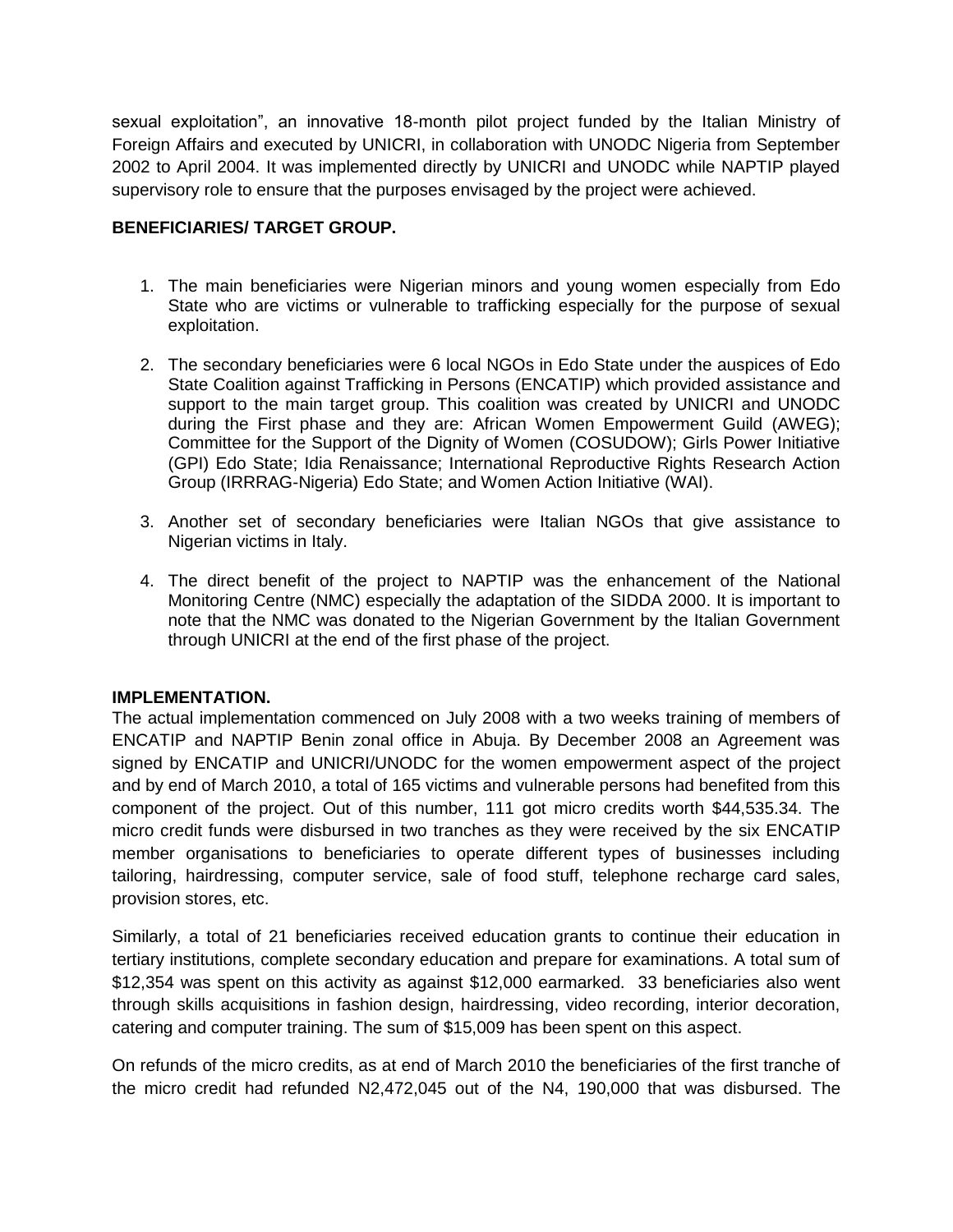sexual exploitation", an innovative 18-month pilot project funded by the Italian Ministry of Foreign Affairs and executed by UNICRI, in collaboration with UNODC Nigeria from September 2002 to April 2004. It was implemented directly by UNICRI and UNODC while NAPTIP played supervisory role to ensure that the purposes envisaged by the project were achieved.

#### **BENEFICIARIES/ TARGET GROUP.**

- 1. The main beneficiaries were Nigerian minors and young women especially from Edo State who are victims or vulnerable to trafficking especially for the purpose of sexual exploitation.
- 2. The secondary beneficiaries were 6 local NGOs in Edo State under the auspices of Edo State Coalition against Trafficking in Persons (ENCATIP) which provided assistance and support to the main target group. This coalition was created by UNICRI and UNODC during the First phase and they are: African Women Empowerment Guild (AWEG); Committee for the Support of the Dignity of Women (COSUDOW); Girls Power Initiative (GPI) Edo State; Idia Renaissance; International Reproductive Rights Research Action Group (IRRRAG-Nigeria) Edo State; and Women Action Initiative (WAI).
- 3. Another set of secondary beneficiaries were Italian NGOs that give assistance to Nigerian victims in Italy.
- 4. The direct benefit of the project to NAPTIP was the enhancement of the National Monitoring Centre (NMC) especially the adaptation of the SIDDA 2000. It is important to note that the NMC was donated to the Nigerian Government by the Italian Government through UNICRI at the end of the first phase of the project.

#### **IMPLEMENTATION.**

The actual implementation commenced on July 2008 with a two weeks training of members of ENCATIP and NAPTIP Benin zonal office in Abuja. By December 2008 an Agreement was signed by ENCATIP and UNICRI/UNODC for the women empowerment aspect of the project and by end of March 2010, a total of 165 victims and vulnerable persons had benefited from this component of the project. Out of this number, 111 got micro credits worth \$44,535.34. The micro credit funds were disbursed in two tranches as they were received by the six ENCATIP member organisations to beneficiaries to operate different types of businesses including tailoring, hairdressing, computer service, sale of food stuff, telephone recharge card sales, provision stores, etc.

Similarly, a total of 21 beneficiaries received education grants to continue their education in tertiary institutions, complete secondary education and prepare for examinations. A total sum of \$12,354 was spent on this activity as against \$12,000 earmarked. 33 beneficiaries also went through skills acquisitions in fashion design, hairdressing, video recording, interior decoration, catering and computer training. The sum of \$15,009 has been spent on this aspect.

On refunds of the micro credits, as at end of March 2010 the beneficiaries of the first tranche of the micro credit had refunded N2,472,045 out of the N4, 190,000 that was disbursed. The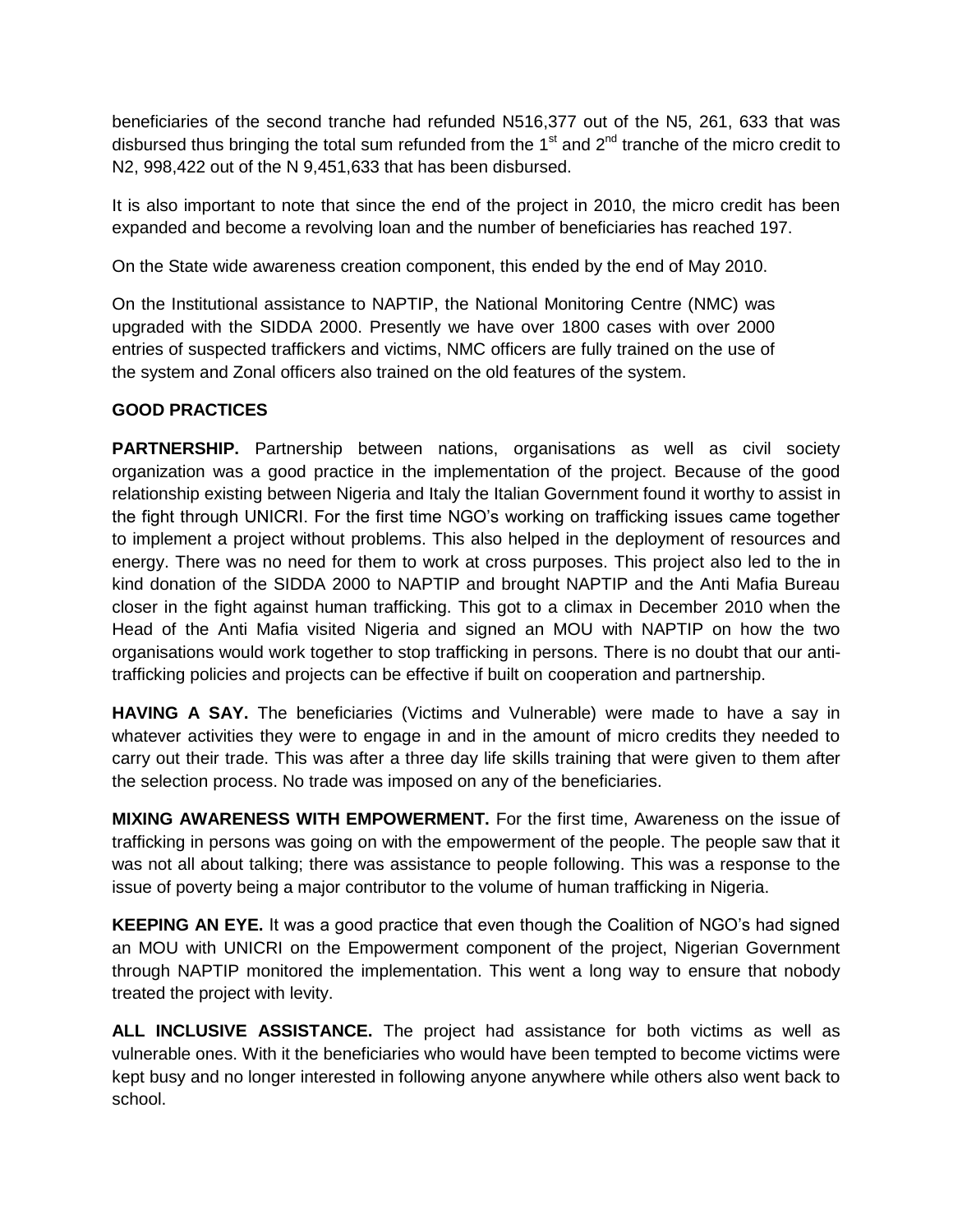beneficiaries of the second tranche had refunded N516,377 out of the N5, 261, 633 that was disbursed thus bringing the total sum refunded from the  $1<sup>st</sup>$  and  $2<sup>nd</sup>$  tranche of the micro credit to N2, 998,422 out of the N 9,451,633 that has been disbursed.

It is also important to note that since the end of the project in 2010, the micro credit has been expanded and become a revolving loan and the number of beneficiaries has reached 197.

On the State wide awareness creation component, this ended by the end of May 2010.

On the Institutional assistance to NAPTIP, the National Monitoring Centre (NMC) was upgraded with the SIDDA 2000. Presently we have over 1800 cases with over 2000 entries of suspected traffickers and victims, NMC officers are fully trained on the use of the system and Zonal officers also trained on the old features of the system.

### **GOOD PRACTICES**

**PARTNERSHIP.** Partnership between nations, organisations as well as civil society organization was a good practice in the implementation of the project. Because of the good relationship existing between Nigeria and Italy the Italian Government found it worthy to assist in the fight through UNICRI. For the first time NGO's working on trafficking issues came together to implement a project without problems. This also helped in the deployment of resources and energy. There was no need for them to work at cross purposes. This project also led to the in kind donation of the SIDDA 2000 to NAPTIP and brought NAPTIP and the Anti Mafia Bureau closer in the fight against human trafficking. This got to a climax in December 2010 when the Head of the Anti Mafia visited Nigeria and signed an MOU with NAPTIP on how the two organisations would work together to stop trafficking in persons. There is no doubt that our antitrafficking policies and projects can be effective if built on cooperation and partnership.

**HAVING A SAY.** The beneficiaries (Victims and Vulnerable) were made to have a say in whatever activities they were to engage in and in the amount of micro credits they needed to carry out their trade. This was after a three day life skills training that were given to them after the selection process. No trade was imposed on any of the beneficiaries.

**MIXING AWARENESS WITH EMPOWERMENT.** For the first time, Awareness on the issue of trafficking in persons was going on with the empowerment of the people. The people saw that it was not all about talking; there was assistance to people following. This was a response to the issue of poverty being a major contributor to the volume of human trafficking in Nigeria.

**KEEPING AN EYE.** It was a good practice that even though the Coalition of NGO's had signed an MOU with UNICRI on the Empowerment component of the project, Nigerian Government through NAPTIP monitored the implementation. This went a long way to ensure that nobody treated the project with levity.

**ALL INCLUSIVE ASSISTANCE.** The project had assistance for both victims as well as vulnerable ones. With it the beneficiaries who would have been tempted to become victims were kept busy and no longer interested in following anyone anywhere while others also went back to school.